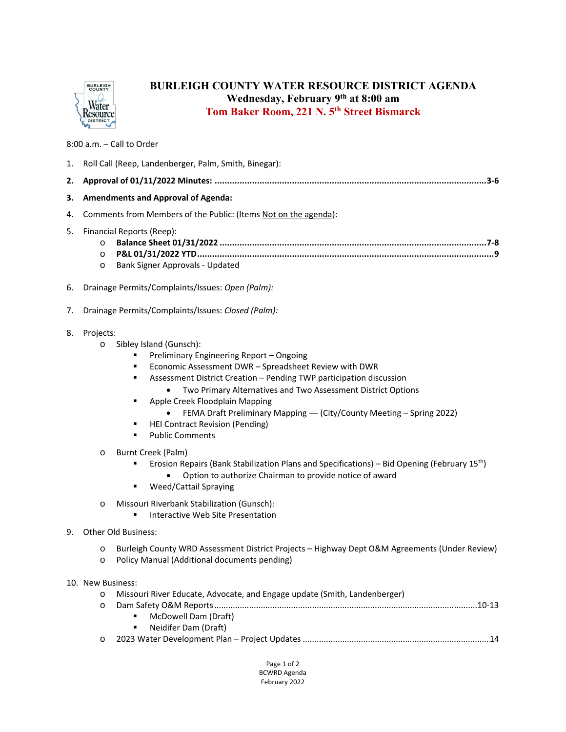

## **BURLEIGH COUNTY WATER RESOURCE DISTRICT AGENDA Wednesday, February 9th at 8:00 am Tom Baker Room, 221 N. 5th Street Bismarck**

8:00 a.m. – Call to Order

| 1. | Roll Call (Reep, Landenberger, Palm, Smith, Binegar):                                                                                                                                                                                                                                                                                                                                                                                                                                                                                                                                                                                                                                                                                                                                                                                                      |
|----|------------------------------------------------------------------------------------------------------------------------------------------------------------------------------------------------------------------------------------------------------------------------------------------------------------------------------------------------------------------------------------------------------------------------------------------------------------------------------------------------------------------------------------------------------------------------------------------------------------------------------------------------------------------------------------------------------------------------------------------------------------------------------------------------------------------------------------------------------------|
| 2. |                                                                                                                                                                                                                                                                                                                                                                                                                                                                                                                                                                                                                                                                                                                                                                                                                                                            |
| з. | <b>Amendments and Approval of Agenda:</b>                                                                                                                                                                                                                                                                                                                                                                                                                                                                                                                                                                                                                                                                                                                                                                                                                  |
| 4. | Comments from Members of the Public: (Items Not on the agenda):                                                                                                                                                                                                                                                                                                                                                                                                                                                                                                                                                                                                                                                                                                                                                                                            |
| 5. | Financial Reports (Reep):<br>$\circ$<br>$\circ$<br>Bank Signer Approvals - Updated<br>$\circ$                                                                                                                                                                                                                                                                                                                                                                                                                                                                                                                                                                                                                                                                                                                                                              |
| 6. | Drainage Permits/Complaints/Issues: Open (Palm):                                                                                                                                                                                                                                                                                                                                                                                                                                                                                                                                                                                                                                                                                                                                                                                                           |
| 7. | Drainage Permits/Complaints/Issues: Closed (Palm):                                                                                                                                                                                                                                                                                                                                                                                                                                                                                                                                                                                                                                                                                                                                                                                                         |
| 8. | Projects:<br>Sibley Island (Gunsch):<br>$\circ$<br>Preliminary Engineering Report - Ongoing<br>Economic Assessment DWR - Spreadsheet Review with DWR<br>٠<br>Assessment District Creation - Pending TWP participation discussion<br>٠<br>Two Primary Alternatives and Two Assessment District Options<br>Apple Creek Floodplain Mapping<br>٠<br>FEMA Draft Preliminary Mapping - (City/County Meeting - Spring 2022)<br><b>HEI Contract Revision (Pending)</b><br>٠<br><b>Public Comments</b><br>$\blacksquare$<br>Burnt Creek (Palm)<br>$\circ$<br>Erosion Repairs (Bank Stabilization Plans and Specifications) – Bid Opening (February 15 <sup>th</sup> )<br>Option to authorize Chairman to provide notice of award<br><b>Weed/Cattail Spraying</b><br>٠<br>Missouri Riverbank Stabilization (Gunsch):<br>$\circ$<br>Interactive Web Site Presentation |
| 9. | Other Old Business:                                                                                                                                                                                                                                                                                                                                                                                                                                                                                                                                                                                                                                                                                                                                                                                                                                        |
|    | Burleigh County WRD Assessment District Projects - Highway Dept O&M Agreements (Under Review)<br>$\circ$<br>Policy Manual (Additional documents pending)<br>$\circ$                                                                                                                                                                                                                                                                                                                                                                                                                                                                                                                                                                                                                                                                                        |
|    | 10. New Business:                                                                                                                                                                                                                                                                                                                                                                                                                                                                                                                                                                                                                                                                                                                                                                                                                                          |
|    | Missouri River Educate, Advocate, and Engage update (Smith, Landenberger)<br>$\circ$<br>$\circ$<br>McDowell Dam (Draft)<br>Neidifer Dam (Draft)                                                                                                                                                                                                                                                                                                                                                                                                                                                                                                                                                                                                                                                                                                            |
|    | $\circ$                                                                                                                                                                                                                                                                                                                                                                                                                                                                                                                                                                                                                                                                                                                                                                                                                                                    |
|    | Page 1 of 2<br><b>BCWRD Agenda</b>                                                                                                                                                                                                                                                                                                                                                                                                                                                                                                                                                                                                                                                                                                                                                                                                                         |

February 2022